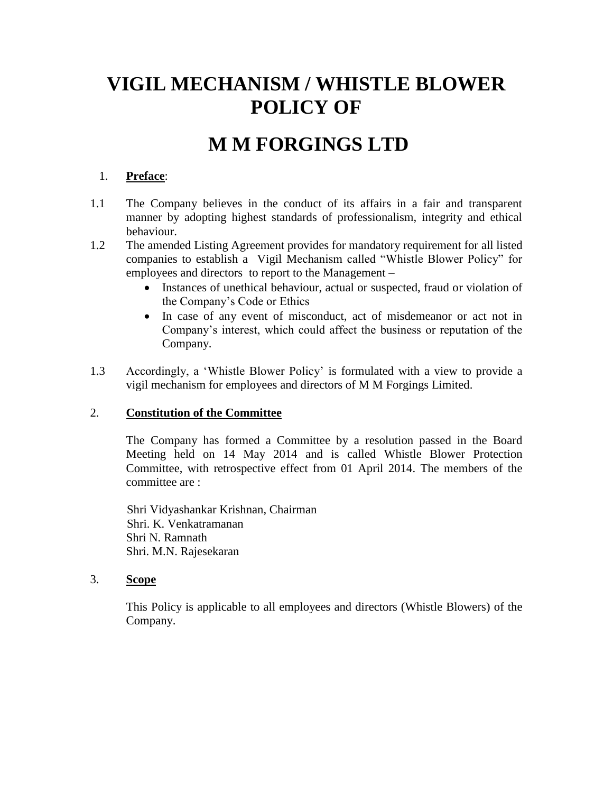# **VIGIL MECHANISM / WHISTLE BLOWER POLICY OF**

## **M M FORGINGS LTD**

## 1. **Preface**:

- 1.1 The Company believes in the conduct of its affairs in a fair and transparent manner by adopting highest standards of professionalism, integrity and ethical behaviour.
- 1.2 The amended Listing Agreement provides for mandatory requirement for all listed companies to establish a Vigil Mechanism called "Whistle Blower Policy" for employees and directors to report to the Management –
	- Instances of unethical behaviour, actual or suspected, fraud or violation of the Company's Code or Ethics
	- In case of any event of misconduct, act of misdemeanor or act not in Company's interest, which could affect the business or reputation of the Company.
- 1.3 Accordingly, a 'Whistle Blower Policy' is formulated with a view to provide a vigil mechanism for employees and directors of M M Forgings Limited.

## 2. **Constitution of the Committee**

The Company has formed a Committee by a resolution passed in the Board Meeting held on 14 May 2014 and is called Whistle Blower Protection Committee, with retrospective effect from 01 April 2014. The members of the committee are :

Shri Vidyashankar Krishnan, Chairman Shri. K. Venkatramanan Shri N. Ramnath Shri. M.N. Rajesekaran

#### 3. **Scope**

This Policy is applicable to all employees and directors (Whistle Blowers) of the Company.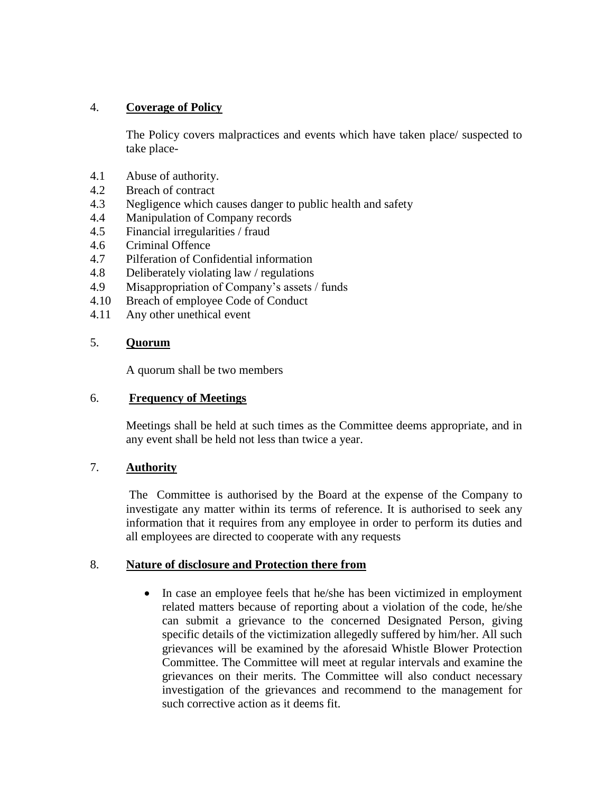## 4. **Coverage of Policy**

The Policy covers malpractices and events which have taken place/ suspected to take place-

- 4.1 Abuse of authority.
- 4.2 Breach of contract
- 4.3 Negligence which causes danger to public health and safety
- 4.4 Manipulation of Company records
- 4.5 Financial irregularities / fraud
- 4.6 Criminal Offence
- 4.7 Pilferation of Confidential information
- 4.8 Deliberately violating law / regulations
- 4.9 Misappropriation of Company's assets / funds
- 4.10 Breach of employee Code of Conduct
- 4.11 Any other unethical event

#### 5. **Quorum**

A quorum shall be two members

#### 6. **Frequency of Meetings**

Meetings shall be held at such times as the Committee deems appropriate, and in any event shall be held not less than twice a year.

#### 7. **Authority**

The Committee is authorised by the Board at the expense of the Company to investigate any matter within its terms of reference. It is authorised to seek any information that it requires from any employee in order to perform its duties and all employees are directed to cooperate with any requests

#### 8. **Nature of disclosure and Protection there from**

• In case an employee feels that he/she has been victimized in employment related matters because of reporting about a violation of the code, he/she can submit a grievance to the concerned Designated Person, giving specific details of the victimization allegedly suffered by him/her. All such grievances will be examined by the aforesaid Whistle Blower Protection Committee. The Committee will meet at regular intervals and examine the grievances on their merits. The Committee will also conduct necessary investigation of the grievances and recommend to the management for such corrective action as it deems fit.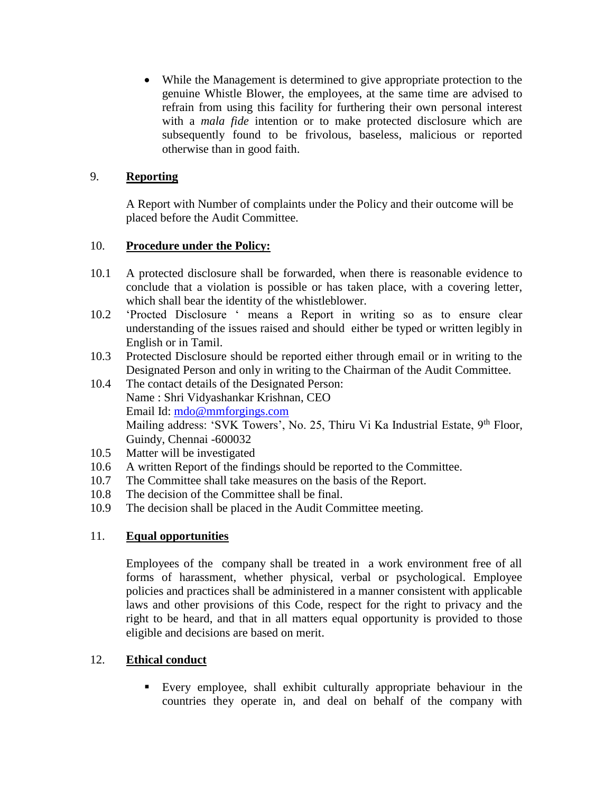While the Management is determined to give appropriate protection to the genuine Whistle Blower, the employees, at the same time are advised to refrain from using this facility for furthering their own personal interest with a *mala fide* intention or to make protected disclosure which are subsequently found to be frivolous, baseless, malicious or reported otherwise than in good faith.

## 9. **Reporting**

A Report with Number of complaints under the Policy and their outcome will be placed before the Audit Committee.

## 10. **Procedure under the Policy:**

- 10.1 A protected disclosure shall be forwarded, when there is reasonable evidence to conclude that a violation is possible or has taken place, with a covering letter, which shall bear the identity of the whistleblower.
- 10.2 'Procted Disclosure ' means a Report in writing so as to ensure clear understanding of the issues raised and should either be typed or written legibly in English or in Tamil.
- 10.3 Protected Disclosure should be reported either through email or in writing to the Designated Person and only in writing to the Chairman of the Audit Committee.
- 10.4 The contact details of the Designated Person: Name : Shri Vidyashankar Krishnan, CEO Email Id: [mdo@mmforgings.com](mailto:mdo@mmforgings.com) Mailing address: 'SVK Towers', No. 25, Thiru Vi Ka Industrial Estate, 9<sup>th</sup> Floor, Guindy, Chennai -600032
- 10.5 Matter will be investigated
- 10.6 A written Report of the findings should be reported to the Committee.
- 10.7 The Committee shall take measures on the basis of the Report.
- 10.8 The decision of the Committee shall be final.
- 10.9 The decision shall be placed in the Audit Committee meeting.

## 11. **Equal opportunities**

Employees of the company shall be treated in a work environment free of all forms of harassment, whether physical, verbal or psychological. Employee policies and practices shall be administered in a manner consistent with applicable laws and other provisions of this Code, respect for the right to privacy and the right to be heard, and that in all matters equal opportunity is provided to those eligible and decisions are based on merit.

## 12. **Ethical conduct**

 Every employee, shall exhibit culturally appropriate behaviour in the countries they operate in, and deal on behalf of the company with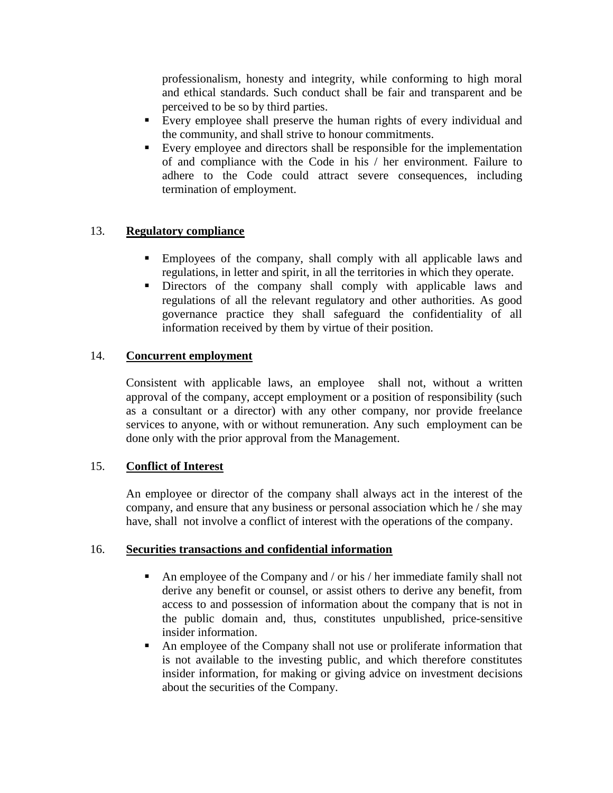professionalism, honesty and integrity, while conforming to high moral and ethical standards. Such conduct shall be fair and transparent and be perceived to be so by third parties.

- Every employee shall preserve the human rights of every individual and the community, and shall strive to honour commitments.
- Every employee and directors shall be responsible for the implementation of and compliance with the Code in his / her environment. Failure to adhere to the Code could attract severe consequences, including termination of employment.

## 13. **Regulatory compliance**

- Employees of the company, shall comply with all applicable laws and regulations, in letter and spirit, in all the territories in which they operate.
- Directors of the company shall comply with applicable laws and regulations of all the relevant regulatory and other authorities. As good governance practice they shall safeguard the confidentiality of all information received by them by virtue of their position.

## 14. **Concurrent employment**

Consistent with applicable laws, an employee shall not, without a written approval of the company, accept employment or a position of responsibility (such as a consultant or a director) with any other company, nor provide freelance services to anyone, with or without remuneration. Any such employment can be done only with the prior approval from the Management.

## 15. **Conflict of Interest**

An employee or director of the company shall always act in the interest of the company, and ensure that any business or personal association which he / she may have, shall not involve a conflict of interest with the operations of the company.

#### 16. **Securities transactions and confidential information**

- An employee of the Company and / or his / her immediate family shall not derive any benefit or counsel, or assist others to derive any benefit, from access to and possession of information about the company that is not in the public domain and, thus, constitutes unpublished, price-sensitive insider information.
- An employee of the Company shall not use or proliferate information that is not available to the investing public, and which therefore constitutes insider information, for making or giving advice on investment decisions about the securities of the Company.